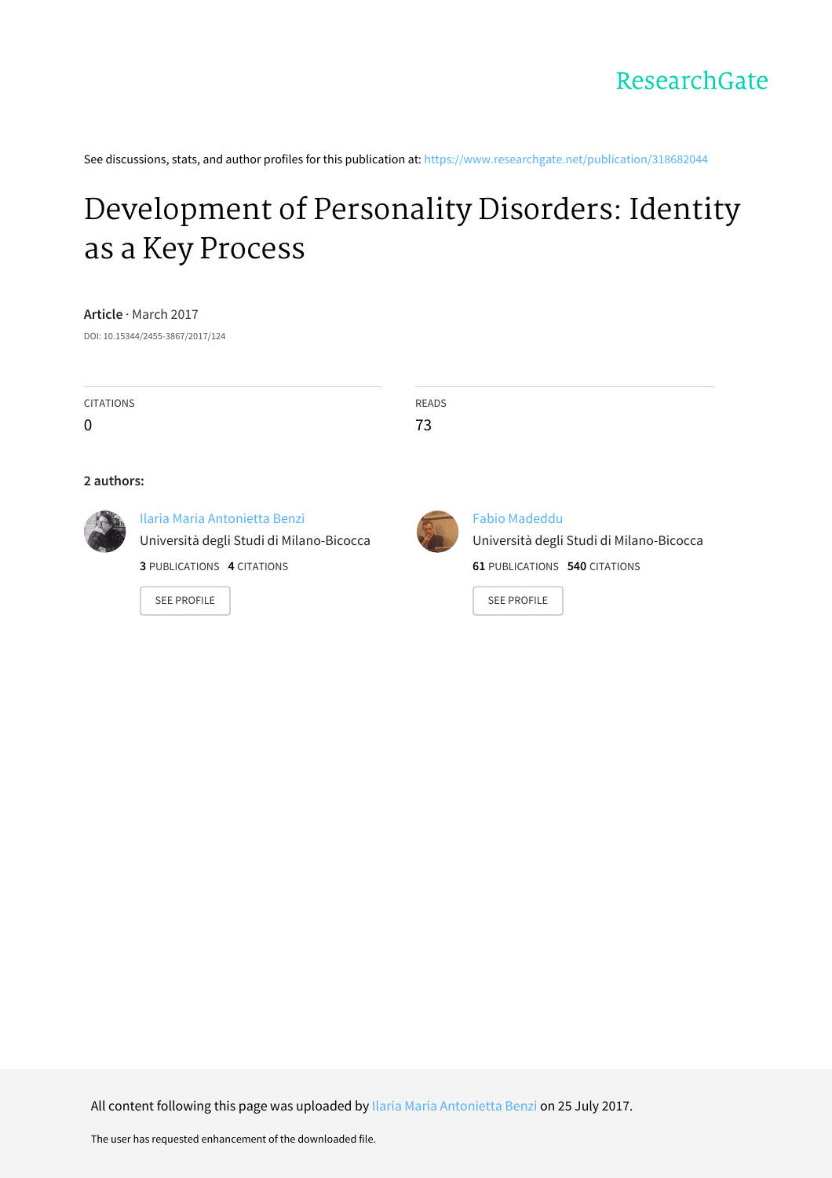See discussions, stats, and author profiles for this publication at: [https://www.researchgate.net/publication/318682044](https://www.researchgate.net/publication/318682044_Development_of_Personality_Disorders_Identity_as_a_Key_Process?enrichId=rgreq-5b85ce203a92cea77f15fcc07cad750d-XXX&enrichSource=Y292ZXJQYWdlOzMxODY4MjA0NDtBUzo1MjAwNDQ1MDU3MTQ2ODhAMTUwMDk5OTY4MDA3Ng%3D%3D&el=1_x_2&_esc=publicationCoverPdf)

# [Development](https://www.researchgate.net/publication/318682044_Development_of_Personality_Disorders_Identity_as_a_Key_Process?enrichId=rgreq-5b85ce203a92cea77f15fcc07cad750d-XXX&enrichSource=Y292ZXJQYWdlOzMxODY4MjA0NDtBUzo1MjAwNDQ1MDU3MTQ2ODhAMTUwMDk5OTY4MDA3Ng%3D%3D&el=1_x_3&_esc=publicationCoverPdf) of Personality Disorders: Identity as a Key Process

**Article** · March 2017 DOI: 10.15344/2455-3867/2017/124

| <b>CITATIONS</b><br>0 |                                                                                                                                      | <b>READS</b><br>73 |                                                                                                                                |
|-----------------------|--------------------------------------------------------------------------------------------------------------------------------------|--------------------|--------------------------------------------------------------------------------------------------------------------------------|
| 2 authors:            |                                                                                                                                      |                    |                                                                                                                                |
|                       | Ilaria Maria Antonietta Benzi<br>Università degli Studi di Milano-Bicocca<br><b>3 PUBLICATIONS 4 CITATIONS</b><br><b>SEE PROFILE</b> |                    | <b>Fabio Madeddu</b><br>Università degli Studi di Milano-Bicocca<br><b>61 PUBLICATIONS 540 CITATIONS</b><br><b>SEE PROFILE</b> |

All content following this page was uploaded by Ilaria Maria [Antonietta](https://www.researchgate.net/profile/Ilaria_Benzi-UNIMIB?enrichId=rgreq-5b85ce203a92cea77f15fcc07cad750d-XXX&enrichSource=Y292ZXJQYWdlOzMxODY4MjA0NDtBUzo1MjAwNDQ1MDU3MTQ2ODhAMTUwMDk5OTY4MDA3Ng%3D%3D&el=1_x_10&_esc=publicationCoverPdf) Benzi on 25 July 2017.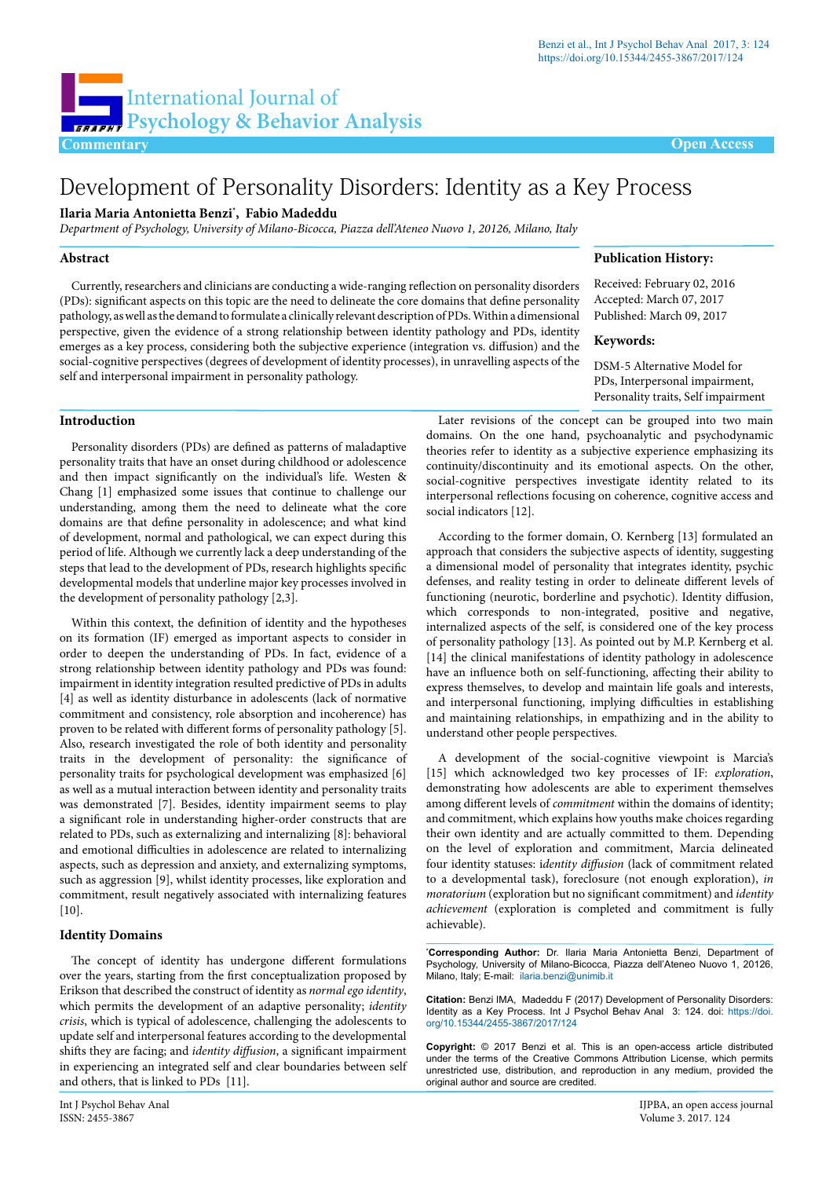**Publication History:** Received: February 02, 2016 Accepted: March 07, 2017 Published: March 09, 2017

DSM-5 Alternative Model for PDs, Interpersonal impairment, Personality traits, Self impairment

**Keywords:**

## Development of Personality Disorders: Identity as a Key Process

#### **Ilaria Maria Antonietta Benzi\* , Fabio Madeddu**

*Department of Psychology, University of Milano-Bicocca, Piazza dell'Ateneo Nuovo 1, 20126, Milano, Italy*

#### **Abstract**

Currently, researchers and clinicians are conducting a wide-ranging reflection on personality disorders (PDs): significant aspects on this topic are the need to delineate the core domains that define personality pathology, as well as the demand to formulate a clinically relevant description of PDs. Within a dimensional perspective, given the evidence of a strong relationship between identity pathology and PDs, identity emerges as a key process, considering both the subjective experience (integration vs. diffusion) and the social-cognitive perspectives (degrees of development of identity processes), in unravelling aspects of the self and interpersonal impairment in personality pathology.

### **Introduction**

Personality disorders (PDs) are defined as patterns of maladaptive personality traits that have an onset during childhood or adolescence and then impact significantly on the individual's life. Westen & Chang [1] emphasized some issues that continue to challenge our understanding, among them the need to delineate what the core domains are that define personality in adolescence; and what kind of development, normal and pathological, we can expect during this period of life. Although we currently lack a deep understanding of the steps that lead to the development of PDs, research highlights specific developmental models that underline major key processes involved in the development of personality pathology [2,3].

Within this context, the definition of identity and the hypotheses on its formation (IF) emerged as important aspects to consider in order to deepen the understanding of PDs. In fact, evidence of a strong relationship between identity pathology and PDs was found: impairment in identity integration resulted predictive of PDs in adults [4] as well as identity disturbance in adolescents (lack of normative commitment and consistency, role absorption and incoherence) has proven to be related with different forms of personality pathology [5]. Also, research investigated the role of both identity and personality traits in the development of personality: the significance of personality traits for psychological development was emphasized [6] as well as a mutual interaction between identity and personality traits was demonstrated [7]. Besides, identity impairment seems to play a significant role in understanding higher-order constructs that are related to PDs, such as externalizing and internalizing [8]: behavioral and emotional difficulties in adolescence are related to internalizing aspects, such as depression and anxiety, and externalizing symptoms, such as aggression [9], whilst identity processes, like exploration and commitment, result negatively associated with internalizing features [10].

### **Identity Domains**

The concept of identity has undergone different formulations over the years, starting from the first conceptualization proposed by Erikson that described the construct of identity as *normal ego identity*, which permits the development of an adaptive personality; *identity crisis*, which is typical of adolescence, challenging the adolescents to update self and interpersonal features according to the developmental shifts they are facing; and *identity diffusion*, a significant impairment in experiencing an integrated self and clear boundaries between self and others, that is linked to PDs [11].

Later revisions of the concept can be grouped into two main domains. On the one hand, psychoanalytic and psychodynamic theories refer to identity as a subjective experience emphasizing its continuity/discontinuity and its emotional aspects. On the other, social-cognitive perspectives investigate identity related to its interpersonal reflections focusing on coherence, cognitive access and social indicators [12].

According to the former domain, O. Kernberg [13] formulated an approach that considers the subjective aspects of identity, suggesting a dimensional model of personality that integrates identity, psychic defenses, and reality testing in order to delineate different levels of functioning (neurotic, borderline and psychotic). Identity diffusion, which corresponds to non-integrated, positive and negative, internalized aspects of the self, is considered one of the key process of personality pathology [13]. As pointed out by M.P. Kernberg et al. [14] the clinical manifestations of identity pathology in adolescence have an influence both on self-functioning, affecting their ability to express themselves, to develop and maintain life goals and interests, and interpersonal functioning, implying difficulties in establishing and maintaining relationships, in empathizing and in the ability to understand other people perspectives.

A development of the social-cognitive viewpoint is Marcia's [15] which acknowledged two key processes of IF: *exploration*, demonstrating how adolescents are able to experiment themselves among different levels of *commitment* within the domains of identity; and commitment, which explains how youths make choices regarding their own identity and are actually committed to them. Depending on the level of exploration and commitment, Marcia delineated four identity statuses: i*dentity diffusion* (lack of commitment related to a developmental task), foreclosure (not enough exploration), *in moratorium* (exploration but no significant commitment) and *identity achievement* (exploration is completed and commitment is fully achievable).

**\* Corresponding Author:** Dr. Ilaria Maria Antonietta Benzi, Department of Psychology, University of Milano-Bicocca, Piazza dell'Ateneo Nuovo 1, 20126, Milano, Italy; E-mail: ilaria.benzi@unimib.it

**Citation:** Benzi IMA, Madeddu F (2017) Development of Personality Disorders: Identity as a Key [P](http://dx.doi.org/10.15344/2455-3867/2017/121%0D)rocess. Int J Psychol Behav Anal 3: 124. doi: [https://doi.](https://doi.org/10.15344/2455-3867/2017/124) [org/10.15344/2455-3867/2017/124](https://doi.org/10.15344/2455-3867/2017/124)

**Copyright:** © 2017 Benzi et al. This is an open-access article distributed under the terms of the Creative Commons Attribution License, which permits unrestricted use, distribution, and reproduction in any medium, provided the original author and source are credited.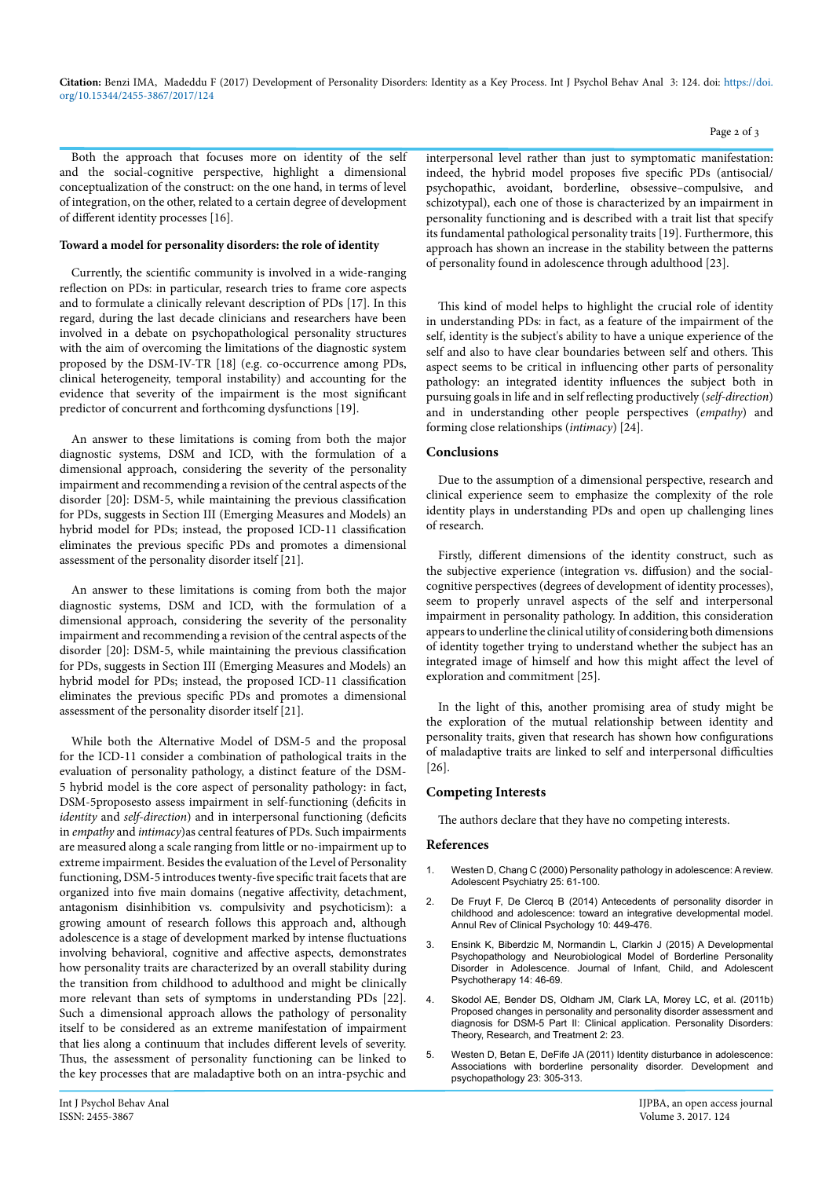**Citation:** Benzi IMA, Madeddu F (2017) Development of Personality Disorders: Identity as a Key Process. Int J Psychol Behav Anal 3: 124. doi: [https://doi.](https://doi.org/10.15344/2455-3867/2017/124) [org/10.15344/2455-3867/2017/124](https://doi.org/10.15344/2455-3867/2017/124)

Both the approach that focuses more on identity of the self and the social-cognitive perspective, highlight a dimensional conceptualization of the construct: on the one hand, in terms of level of integration, on the other, related to a certain degree of development of different identity processes [16].

#### **Toward a model for personality disorders: the role of identity**

Currently, the scientific community is involved in a wide-ranging reflection on PDs: in particular, research tries to frame core aspects and to formulate a clinically relevant description of PDs [17]. In this regard, during the last decade clinicians and researchers have been involved in a debate on psychopathological personality structures with the aim of overcoming the limitations of the diagnostic system proposed by the DSM-IV-TR [18] (e.g. co-occurrence among PDs, clinical heterogeneity, temporal instability) and accounting for the evidence that severity of the impairment is the most significant predictor of concurrent and forthcoming dysfunctions [19].

An answer to these limitations is coming from both the major diagnostic systems, DSM and ICD, with the formulation of a dimensional approach, considering the severity of the personality impairment and recommending a revision of the central aspects of the disorder [20]: DSM-5, while maintaining the previous classification for PDs, suggests in Section III (Emerging Measures and Models) an hybrid model for PDs; instead, the proposed ICD-11 classification eliminates the previous specific PDs and promotes a dimensional assessment of the personality disorder itself [21].

An answer to these limitations is coming from both the major diagnostic systems, DSM and ICD, with the formulation of a dimensional approach, considering the severity of the personality impairment and recommending a revision of the central aspects of the disorder [20]: DSM-5, while maintaining the previous classification for PDs, suggests in Section III (Emerging Measures and Models) an hybrid model for PDs; instead, the proposed ICD-11 classification eliminates the previous specific PDs and promotes a dimensional assessment of the personality disorder itself [21].

While both the Alternative Model of DSM-5 and the proposal for the ICD-11 consider a combination of pathological traits in the evaluation of personality pathology, a distinct feature of the DSM-5 hybrid model is the core aspect of personality pathology: in fact, DSM-5proposesto assess impairment in self-functioning (deficits in *identity* and *self-direction*) and in interpersonal functioning (deficits in *empathy* and *intimacy*)as central features of PDs. Such impairments are measured along a scale ranging from little or no-impairment up to extreme impairment. Besides the evaluation of the Level of Personality functioning, DSM-5 introduces twenty-five specific trait facets that are organized into five main domains (negative affectivity, detachment, antagonism disinhibition vs. compulsivity and psychoticism): a growing amount of research follows this approach and, although adolescence is a stage of development marked by intense fluctuations involving behavioral, cognitive and affective aspects, demonstrates how personality traits are characterized by an overall stability during the transition from childhood to adulthood and might be clinically more relevant than sets of symptoms in understanding PDs [22]. Such a dimensional approach allows the pathology of personality itself to be considered as an extreme manifestation of impairment that lies along a continuum that includes different levels of severity. Thus, the assessment of personality functioning can be linked to the key processes that are maladaptive both on an intra-psychic and

interpersonal level rather than just to symptomatic manifestation: indeed, the hybrid model proposes five specific PDs (antisocial/ psychopathic, avoidant, borderline, obsessive–compulsive, and schizotypal), each one of those is characterized by an impairment in personality functioning and is described with a trait list that specify its fundamental pathological personality traits [19]. Furthermore, this approach has shown an increase in the stability between the patterns of personality found in adolescence through adulthood [23].

This kind of model helps to highlight the crucial role of identity in understanding PDs: in fact, as a feature of the impairment of the self, identity is the subject's ability to have a unique experience of the self and also to have clear boundaries between self and others. This aspect seems to be critical in influencing other parts of personality pathology: an integrated identity influences the subject both in pursuing goals in life and in self reflecting productively (*self-direction*) and in understanding other people perspectives (*empathy*) and forming close relationships (*intimacy*) [24].

### **Conclusions**

Due to the assumption of a dimensional perspective, research and clinical experience seem to emphasize the complexity of the role identity plays in understanding PDs and open up challenging lines of research.

Firstly, different dimensions of the identity construct, such as the subjective experience (integration vs. diffusion) and the socialcognitive perspectives (degrees of development of identity processes), seem to properly unravel aspects of the self and interpersonal impairment in personality pathology. In addition, this consideration appears to underline the clinical utility of considering both dimensions of identity together trying to understand whether the subject has an integrated image of himself and how this might affect the level of exploration and commitment [25].

In the light of this, another promising area of study might be the exploration of the mutual relationship between identity and personality traits, given that research has shown how configurations of maladaptive traits are linked to self and interpersonal difficulties [26].

#### **Competing Interests**

The authors declare that they have no competing interests.

#### **References**

- 1. Westen D, Chang C (2000) Personality pathology in adolescence: A review. Adolescent Psychiatry 25: 61-100.
- De Fruyt F, De Clercq B (2014) Antecedents of personality disorder in [childhood and adolescence: toward an integrative developmental model.](https://www.ncbi.nlm.nih.gov/pubmed/24471374)  [Annul Rev of Clinical Psychology 10: 449-476.](https://www.ncbi.nlm.nih.gov/pubmed/24471374)
- 3. [Ensink K, Biberdzic M, Normandin L, Clarkin J \(2015\) A Developmental](http://www.tandfonline.com/doi/abs/10.1080/15289168.2015.1007715%3FjournalCode%3Dhicp20)  [Psychopathology and Neurobiological Model of Borderline Personality](http://www.tandfonline.com/doi/abs/10.1080/15289168.2015.1007715%3FjournalCode%3Dhicp20)  [Disorder in Adolescence. Journal of Infant, Child, and Adolescent](http://www.tandfonline.com/doi/abs/10.1080/15289168.2015.1007715%3FjournalCode%3Dhicp20)  [Psychotherapy 14: 46-69.](http://www.tandfonline.com/doi/abs/10.1080/15289168.2015.1007715%3FjournalCode%3Dhicp20)
- 4. [Skodol AE, Bender DS, Oldham JM, Clark LA, Morey LC, et al. \(2011b\)](https://www.ncbi.nlm.nih.gov/pubmed/22448688)  [Proposed changes in personality and personality disorder assessment and](https://www.ncbi.nlm.nih.gov/pubmed/22448688)  [diagnosis for DSM-5 Part II: Clinical application. Personality Disorders:](https://www.ncbi.nlm.nih.gov/pubmed/22448688)  [Theory, Research, and Treatment 2: 23.](https://www.ncbi.nlm.nih.gov/pubmed/22448688)
- 5. [Westen D, Betan E, DeFife JA \(2011\) Identity disturbance in adolescence:](https://www.ncbi.nlm.nih.gov/pubmed/21262056)  [Associations with borderline personality disorder. Development and](https://www.ncbi.nlm.nih.gov/pubmed/21262056)  [psychopathology 23: 305-313.](https://www.ncbi.nlm.nih.gov/pubmed/21262056)